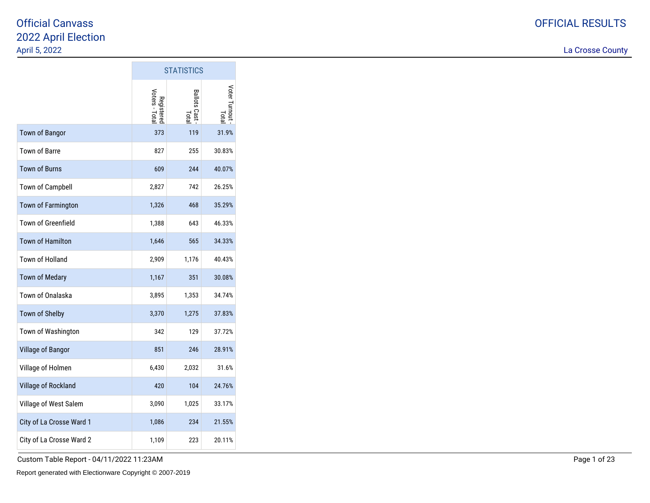La Crosse County

|                           |                              | <b>STATISTICS</b>       |                       |
|---------------------------|------------------------------|-------------------------|-----------------------|
|                           | Registered<br>Voters - Total | Ballots Cast -<br>Total | Voter Turnout<br>Tota |
| <b>Town of Bangor</b>     | 373                          | 119                     | 31.9%                 |
| Town of Barre             | 827                          | 255                     | 30.83%                |
| <b>Town of Burns</b>      | 609                          | 244                     | 40.07%                |
| Town of Campbell          | 2,827                        | 742                     | 26.25%                |
| Town of Farmington        | 1,326                        | 468                     | 35.29%                |
| <b>Town of Greenfield</b> | 1,388                        | 643                     | 46.33%                |
| <b>Town of Hamilton</b>   | 1,646                        | 565                     | 34.33%                |
| Town of Holland           | 2,909                        | 1,176                   | 40.43%                |
| <b>Town of Medary</b>     | 1,167                        | 351                     | 30.08%                |
| Town of Onalaska          | 3,895                        | 1,353                   | 34.74%                |
| Town of Shelby            | 3,370                        | 1,275                   | 37.83%                |
| Town of Washington        | 342                          | 129                     | 37.72%                |
| Village of Bangor         | 851                          | 246                     | 28.91%                |
| Village of Holmen         | 6,430                        | 2,032                   | 31.6%                 |
| Village of Rockland       | 420                          | 104                     | 24.76%                |
| Village of West Salem     | 3,090                        | 1,025                   | 33.17%                |
| City of La Crosse Ward 1  | 1,086                        | 234                     | 21.55%                |
| City of La Crosse Ward 2  | 1,109                        | 223                     | 20.11%                |

 $\mathcal{L}^{\text{max}}$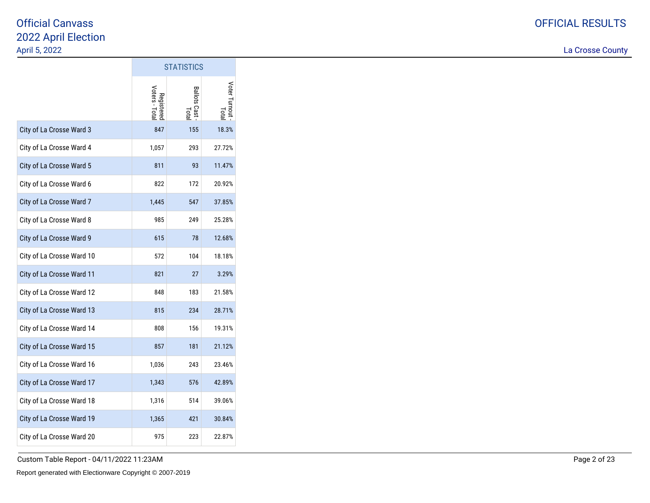La Crosse County

|                           |                              | <b>STATISTICS</b>       |                       |
|---------------------------|------------------------------|-------------------------|-----------------------|
|                           | Registered<br>Voters - Total | Ballots Cast -<br>Total | Voter Turnout<br>Tota |
| City of La Crosse Ward 3  | 847                          | 155                     | 18.3%                 |
| City of La Crosse Ward 4  | 1,057                        | 293                     | 27.72%                |
| City of La Crosse Ward 5  | 811                          | 93                      | 11.47%                |
| City of La Crosse Ward 6  | 822                          | 172                     | 20.92%                |
| City of La Crosse Ward 7  | 1,445                        | 547                     | 37.85%                |
| City of La Crosse Ward 8  | 985                          | 249                     | 25.28%                |
| City of La Crosse Ward 9  | 615                          | 78                      | 12.68%                |
| City of La Crosse Ward 10 | 572                          | 104                     | 18.18%                |
| City of La Crosse Ward 11 | 821                          | 27                      | 3.29%                 |
| City of La Crosse Ward 12 | 848                          | 183                     | 21.58%                |
| City of La Crosse Ward 13 | 815                          | 234                     | 28.71%                |
| City of La Crosse Ward 14 | 808                          | 156                     | 19.31%                |
| City of La Crosse Ward 15 | 857                          | 181                     | 21.12%                |
| City of La Crosse Ward 16 | 1,036                        | 243                     | 23.46%                |
| City of La Crosse Ward 17 | 1,343                        | 576                     | 42.89%                |
| City of La Crosse Ward 18 | 1,316                        | 514                     | 39.06%                |
| City of La Crosse Ward 19 | 1,365                        | 421                     | 30.84%                |
| City of La Crosse Ward 20 | 975                          | 223                     | 22.87%                |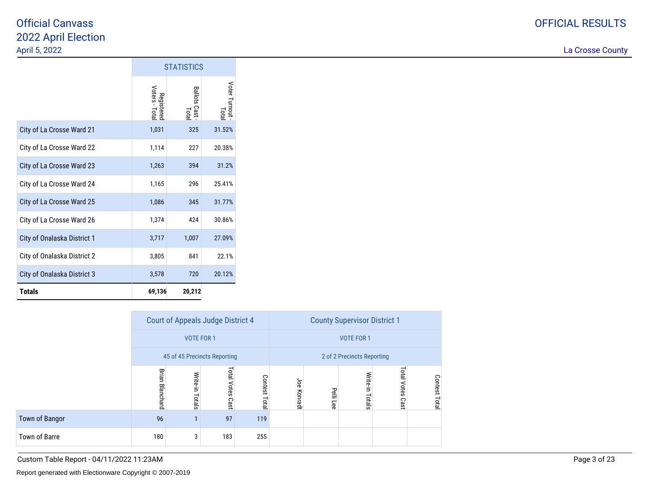La Crosse County

|                             |                              | <b>STATISTICS</b>     |                              |
|-----------------------------|------------------------------|-----------------------|------------------------------|
|                             | Registered<br>Voters - Total | Ballots Cast<br>Total | Voter Turnout<br><b>Lota</b> |
| City of La Crosse Ward 21   | 1,031                        | 325                   | 31.52%                       |
| City of La Crosse Ward 22   | 1,114                        | 227                   | 20.38%                       |
| City of La Crosse Ward 23   | 1,263                        | 394                   | 31.2%                        |
| City of La Crosse Ward 24   | 1,165                        | 296                   | 25.41%                       |
| City of La Crosse Ward 25   | 1,086                        | 345                   | 31.77%                       |
| City of La Crosse Ward 26   | 1,374                        | 424                   | 30.86%                       |
| City of Onalaska District 1 | 3,717                        | 1,007                 | 27.09%                       |
| City of Onalaska District 2 | 3,805                        | 841                   | 22.1%                        |
| City of Onalaska District 3 | 3,578                        | 720                   | 20.12%                       |
| <b>Totals</b>               | 69,136                       | 20,212                |                              |

|                |                        |                   | Court of Appeals Judge District 4 |               |             | <b>County Supervisor District 1</b> |                            |                            |                  |  |
|----------------|------------------------|-------------------|-----------------------------------|---------------|-------------|-------------------------------------|----------------------------|----------------------------|------------------|--|
|                |                        | <b>VOTE FOR 1</b> |                                   |               |             |                                     | <b>VOTE FOR 1</b>          |                            |                  |  |
|                |                        |                   | 45 of 45 Precincts Reporting      |               |             |                                     | 2 of 2 Precincts Reporting |                            |                  |  |
|                | <b>Brian Blanchard</b> | Write-in Totals   | Total Votes Cast                  | Contest Total | Joe Konradt | Pelli Lee                           | Write-in Totals            | <b>Total Votes</b><br>Cast | Contest<br>Total |  |
| Town of Bangor | 96                     | 1                 | 97                                | 119           |             |                                     |                            |                            |                  |  |
| Town of Barre  | 180                    | 3                 | 183                               | 255           |             |                                     |                            |                            |                  |  |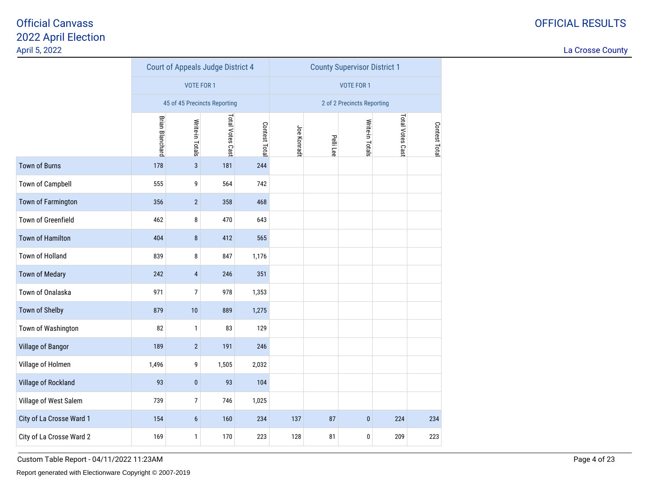La Crosse County

|                          |                        | Court of Appeals Judge District 4 |                  |               |             |           | <b>County Supervisor District 1</b>                                                                     |     |     |  |
|--------------------------|------------------------|-----------------------------------|------------------|---------------|-------------|-----------|---------------------------------------------------------------------------------------------------------|-----|-----|--|
|                          |                        | <b>VOTE FOR 1</b>                 |                  |               |             |           | <b>VOTE FOR 1</b><br>2 of 2 Precincts Reporting<br>Total Votes Cast<br>Write-in Totals<br>Contest Total |     |     |  |
|                          |                        | 45 of 45 Precincts Reporting      |                  |               |             |           |                                                                                                         |     |     |  |
|                          | <b>Brian Blanchard</b> | Write-in Totals                   | Total Votes Cast | Contest Total | Joe Konradt | Pelli Lee |                                                                                                         |     |     |  |
| <b>Town of Burns</b>     | 178                    | $\overline{3}$                    | 181              | 244           |             |           |                                                                                                         |     |     |  |
| Town of Campbell         | 555                    | 9                                 | 564              | 742           |             |           |                                                                                                         |     |     |  |
| Town of Farmington       | 356                    | $\overline{2}$                    | 358              | 468           |             |           |                                                                                                         |     |     |  |
| Town of Greenfield       | 462                    | 8                                 | 470              | 643           |             |           |                                                                                                         |     |     |  |
| <b>Town of Hamilton</b>  | 404                    | $\bf 8$                           | 412              | 565           |             |           |                                                                                                         |     |     |  |
| Town of Holland          | 839                    | 8                                 | 847              | 1,176         |             |           |                                                                                                         |     |     |  |
| <b>Town of Medary</b>    | 242                    | $\overline{4}$                    | 246              | 351           |             |           |                                                                                                         |     |     |  |
| Town of Onalaska         | 971                    | 7                                 | 978              | 1,353         |             |           |                                                                                                         |     |     |  |
| Town of Shelby           | 879                    | $10$                              | 889              | 1,275         |             |           |                                                                                                         |     |     |  |
| Town of Washington       | 82                     | $\mathbf{1}$                      | 83               | 129           |             |           |                                                                                                         |     |     |  |
| Village of Bangor        | 189                    | $\overline{2}$                    | 191              | 246           |             |           |                                                                                                         |     |     |  |
| Village of Holmen        | 1,496                  | 9                                 | 1,505            | 2,032         |             |           |                                                                                                         |     |     |  |
| Village of Rockland      | 93                     | $\pmb{0}$                         | 93               | 104           |             |           |                                                                                                         |     |     |  |
| Village of West Salem    | 739                    | 7                                 | 746              | 1,025         |             |           |                                                                                                         |     |     |  |
| City of La Crosse Ward 1 | 154                    | $6\phantom{.}6$                   | 160              | 234           | 137         | 87        | $\pmb{0}$                                                                                               | 224 | 234 |  |
| City of La Crosse Ward 2 | 169                    | 1                                 | 170              | 223           | 128         | 81        | 0                                                                                                       | 209 | 223 |  |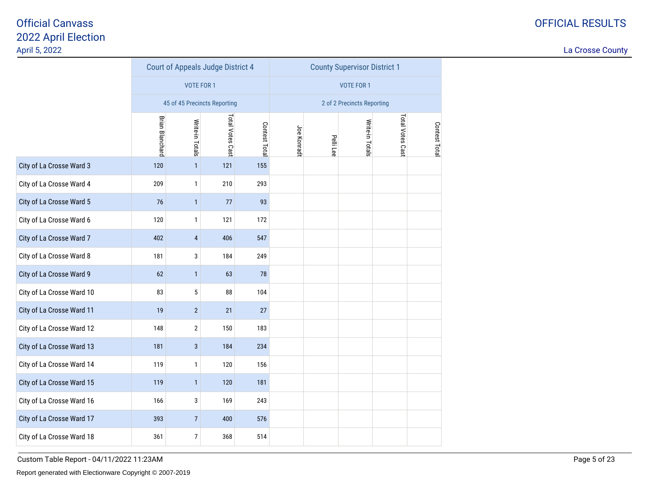La Crosse County

|                           |                        | Court of Appeals Judge District 4 |                  |               |             |           | <b>County Supervisor District 1</b> |                  |               |
|---------------------------|------------------------|-----------------------------------|------------------|---------------|-------------|-----------|-------------------------------------|------------------|---------------|
|                           |                        | <b>VOTE FOR 1</b>                 |                  |               |             |           | <b>VOTE FOR 1</b>                   |                  |               |
|                           |                        | 45 of 45 Precincts Reporting      |                  |               |             |           | 2 of 2 Precincts Reporting          |                  |               |
|                           | <b>Brian Blanchard</b> | Write-in Totals                   | Total Votes Cast | Contest Total | Joe Konradt | Pelli Lee | Write-in Totals                     | Total Votes Cast | Contest Total |
| City of La Crosse Ward 3  | 120                    | $\mathbf{1}$                      | 121              | 155           |             |           |                                     |                  |               |
| City of La Crosse Ward 4  | 209                    | $\mathbf{1}$                      | 210              | 293           |             |           |                                     |                  |               |
| City of La Crosse Ward 5  | 76                     | $\mathbf{1}$                      | 77               | 93            |             |           |                                     |                  |               |
| City of La Crosse Ward 6  | 120                    | $\mathbf{1}$                      | 121              | 172           |             |           |                                     |                  |               |
| City of La Crosse Ward 7  | 402                    | $\overline{4}$                    | 406              | 547           |             |           |                                     |                  |               |
| City of La Crosse Ward 8  | 181                    | 3                                 | 184              | 249           |             |           |                                     |                  |               |
| City of La Crosse Ward 9  | 62                     | $\mathbf{1}$                      | 63               | 78            |             |           |                                     |                  |               |
| City of La Crosse Ward 10 | 83                     | 5                                 | 88               | 104           |             |           |                                     |                  |               |
| City of La Crosse Ward 11 | 19                     | $\overline{2}$                    | 21               | 27            |             |           |                                     |                  |               |
| City of La Crosse Ward 12 | 148                    | $\mathbf 2$                       | 150              | 183           |             |           |                                     |                  |               |
| City of La Crosse Ward 13 | 181                    | $\mathbf{3}$                      | 184              | 234           |             |           |                                     |                  |               |
| City of La Crosse Ward 14 | 119                    | $\mathbf{1}$                      | 120              | 156           |             |           |                                     |                  |               |
| City of La Crosse Ward 15 | 119                    | $\mathbf{1}$                      | 120              | 181           |             |           |                                     |                  |               |
| City of La Crosse Ward 16 | 166                    | 3                                 | 169              | 243           |             |           |                                     |                  |               |
| City of La Crosse Ward 17 | 393                    | $\overline{7}$                    | 400              | 576           |             |           |                                     |                  |               |
| City of La Crosse Ward 18 | 361                    | $\overline{7}$                    | 368              | 514           |             |           |                                     |                  |               |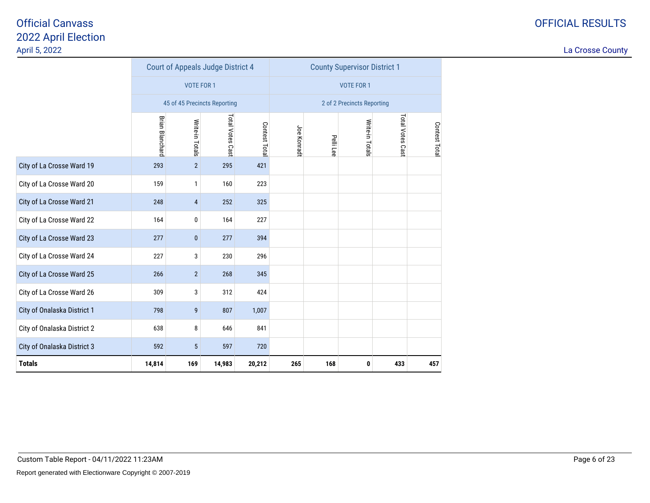|                             |                        | <b>Court of Appeals Judge District 4</b> |                  |              |            |           | <b>County Supervisor District 1</b> |                  |              |
|-----------------------------|------------------------|------------------------------------------|------------------|--------------|------------|-----------|-------------------------------------|------------------|--------------|
|                             |                        | <b>VOTE FOR 1</b>                        |                  |              |            |           | <b>VOTE FOR 1</b>                   |                  |              |
|                             |                        | 45 of 45 Precincts Reporting             |                  |              |            |           | 2 of 2 Precincts Reporting          |                  |              |
|                             | <b>Brian Blanchard</b> | Write-in Totals                          | Total Votes Cast | Contest Tota | Joe Konrad | Pelli Lee | Write-in Totals                     | Total Votes Cast | Contest Tota |
| City of La Crosse Ward 19   | 293                    | $\overline{2}$                           | 295              | 421          |            |           |                                     |                  |              |
| City of La Crosse Ward 20   | 159                    | $\mathbf{1}$                             | 160              | 223          |            |           |                                     |                  |              |
| City of La Crosse Ward 21   | 248                    | $\overline{4}$                           | 252              | 325          |            |           |                                     |                  |              |
| City of La Crosse Ward 22   | 164                    | 0                                        | 164              | 227          |            |           |                                     |                  |              |
| City of La Crosse Ward 23   | 277                    | $\pmb{0}$                                | 277              | 394          |            |           |                                     |                  |              |
| City of La Crosse Ward 24   | 227                    | 3                                        | 230              | 296          |            |           |                                     |                  |              |
| City of La Crosse Ward 25   | 266                    | $\overline{2}$                           | 268              | 345          |            |           |                                     |                  |              |
| City of La Crosse Ward 26   | 309                    | 3                                        | 312              | 424          |            |           |                                     |                  |              |
| City of Onalaska District 1 | 798                    | 9                                        | 807              | 1,007        |            |           |                                     |                  |              |
| City of Onalaska District 2 | 638                    | 8                                        | 646              | 841          |            |           |                                     |                  |              |
| City of Onalaska District 3 | 592                    | $\sqrt{5}$                               | 597              | 720          |            |           |                                     |                  |              |
| <b>Totals</b>               | 14,814                 | 169                                      | 14,983           | 20,212       | 265        | 168       | 0                                   | 433              | 457          |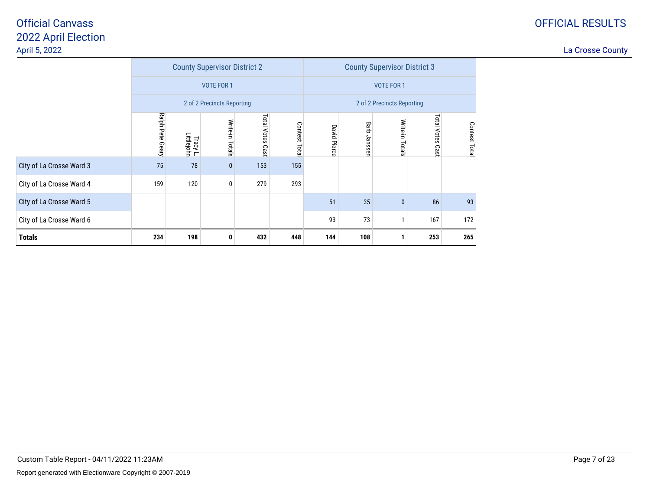### OFFICIAL RESULTS

|                          |                  |                        | <b>County Supervisor District 2</b> |                     |               |                     | <b>County Supervisor District 3</b> |                            |                            |              |  |  |
|--------------------------|------------------|------------------------|-------------------------------------|---------------------|---------------|---------------------|-------------------------------------|----------------------------|----------------------------|--------------|--|--|
|                          |                  |                        | <b>VOTE FOR 1</b>                   |                     |               |                     | <b>VOTE FOR 1</b>                   |                            |                            |              |  |  |
|                          |                  |                        | 2 of 2 Precincts Reporting          |                     |               |                     |                                     | 2 of 2 Precincts Reporting |                            |              |  |  |
|                          | Ralph Pete Geary | Tracy L.<br>Littlejohn | Write-in Totals                     | Total Votes<br>Cast | Contest Total | <b>David Pierce</b> | Barb Janssen                        | Write-in Totals            | <b>Total Votes</b><br>Cast | Contest Tota |  |  |
| City of La Crosse Ward 3 | 75               | 78                     | $\pmb{0}$                           | 153                 | 155           |                     |                                     |                            |                            |              |  |  |
| City of La Crosse Ward 4 | 159              | 120                    | 0                                   | 279                 | 293           |                     |                                     |                            |                            |              |  |  |
| City of La Crosse Ward 5 |                  |                        |                                     |                     |               | 51                  | 35                                  | $\pmb{0}$                  | 86                         | 93           |  |  |
| City of La Crosse Ward 6 |                  |                        |                                     |                     |               | 93                  | 73                                  |                            | 167                        | 172          |  |  |
| <b>Totals</b>            | 234              | 198                    | 0                                   | 432                 | 448           | 144                 | 108                                 |                            | 253                        | 265          |  |  |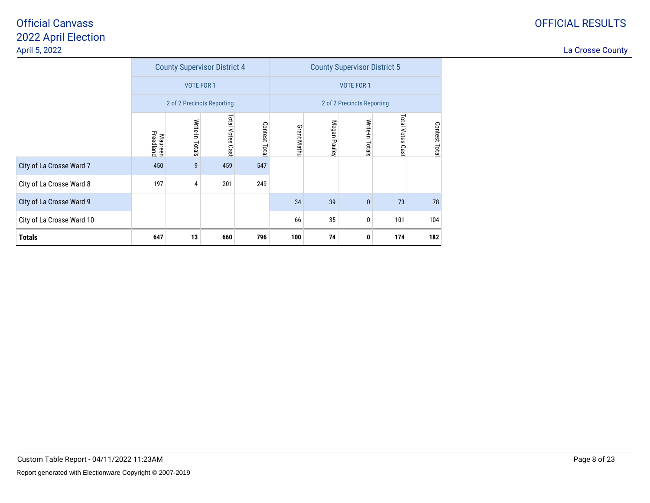|                           |                             |                   | <b>County Supervisor District 4</b> |              | <b>County Supervisor District 5</b> |                            |                 |                     |               |  |
|---------------------------|-----------------------------|-------------------|-------------------------------------|--------------|-------------------------------------|----------------------------|-----------------|---------------------|---------------|--|
|                           |                             | <b>VOTE FOR 1</b> |                                     |              |                                     | <b>VOTE FOR 1</b>          |                 |                     |               |  |
|                           |                             |                   | 2 of 2 Precincts Reporting          |              |                                     | 2 of 2 Precincts Reporting |                 |                     |               |  |
|                           | <b>Maureen</b><br>Freedland | Write-in Totals   | Total Votes<br>Cast                 | Contest Tota | <b>Grant Mathu</b>                  | Megan Pauley               | Write-in Totals | Total Votes<br>Cast | Contest Total |  |
| City of La Crosse Ward 7  | 450                         | 9                 | 459                                 | 547          |                                     |                            |                 |                     |               |  |
| City of La Crosse Ward 8  | 197                         | 4                 | 201                                 | 249          |                                     |                            |                 |                     |               |  |
| City of La Crosse Ward 9  |                             |                   |                                     |              | 34                                  | 39                         | $\mathbf{0}$    | 73                  | 78            |  |
| City of La Crosse Ward 10 |                             |                   |                                     |              | 66                                  | 35                         | 0               | 101                 | 104           |  |
| <b>Totals</b>             | 647                         | 13                | 660                                 | 796          | 100                                 | 74                         | 0               | 174                 | 182           |  |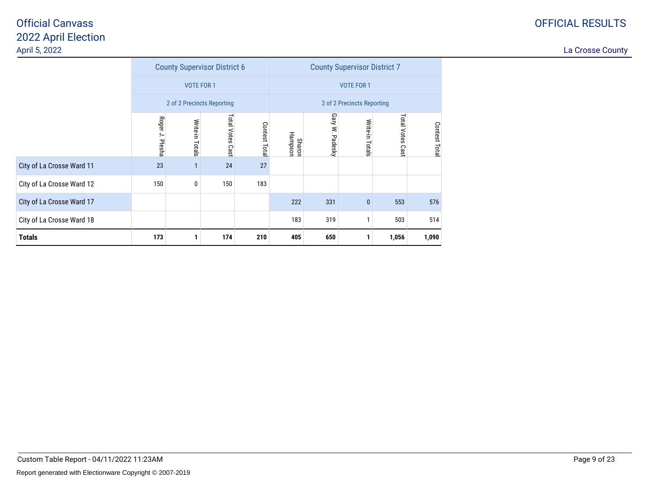|                           |                 |                   | <b>County Supervisor District 6</b> |               | <b>County Supervisor District 7</b> |                   |                            |                    |               |  |
|---------------------------|-----------------|-------------------|-------------------------------------|---------------|-------------------------------------|-------------------|----------------------------|--------------------|---------------|--|
|                           |                 | <b>VOTE FOR 1</b> |                                     |               |                                     | <b>VOTE FOR 1</b> |                            |                    |               |  |
|                           |                 |                   | 2 of 2 Precincts Reporting          |               |                                     |                   | 2 of 2 Precincts Reporting |                    |               |  |
|                           | Roger J. Plesha | Write-in Totals   | Total Votes<br>Cast                 | Contest Total | Hampson<br><b>Sharon</b>            | Gary W. Padesky   | Write-in Totals            | Total Votes<br>Cas | Contest Total |  |
| City of La Crosse Ward 11 | 23              |                   | 24                                  | 27            |                                     |                   |                            |                    |               |  |
| City of La Crosse Ward 12 | 150             | 0                 | 150                                 | 183           |                                     |                   |                            |                    |               |  |
| City of La Crosse Ward 17 |                 |                   |                                     |               | 222                                 | 331               | $\pmb{0}$                  | 553                | 576           |  |
| City of La Crosse Ward 18 |                 |                   |                                     |               | 183                                 | 319               |                            | 503                | 514           |  |
| <b>Totals</b>             | 173             |                   | 174                                 | 210           | 405                                 | 650               |                            | 1,056              | 1,090         |  |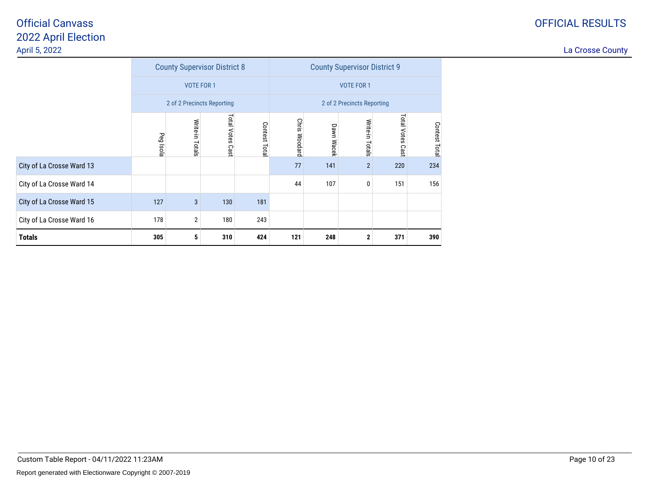|                           |           |                            | <b>County Supervisor District 8</b> |               |                      | <b>County Supervisor District 9</b> |                            |                     |               |  |  |
|---------------------------|-----------|----------------------------|-------------------------------------|---------------|----------------------|-------------------------------------|----------------------------|---------------------|---------------|--|--|
|                           |           | <b>VOTE FOR 1</b>          |                                     |               |                      |                                     | <b>VOTE FOR 1</b>          |                     |               |  |  |
|                           |           | 2 of 2 Precincts Reporting |                                     |               |                      |                                     | 2 of 2 Precincts Reporting |                     |               |  |  |
|                           | Peg Isola | Write-in Totals            | Total Votes<br>Cast                 | Contest Total | <b>Chris Woodard</b> | Dawn Wacek                          | Write-in Totals            | Total Votes<br>Cast | Contest Total |  |  |
| City of La Crosse Ward 13 |           |                            |                                     |               | 77                   | 141                                 | $\overline{2}$             | 220                 | 234           |  |  |
| City of La Crosse Ward 14 |           |                            |                                     |               | 44                   | 107                                 | 0                          | 151                 | 156           |  |  |
| City of La Crosse Ward 15 | 127       | 3                          | 130                                 | 181           |                      |                                     |                            |                     |               |  |  |
| City of La Crosse Ward 16 | 178       | $\overline{2}$             | 180                                 | 243           |                      |                                     |                            |                     |               |  |  |
| <b>Totals</b>             | 305       | 5                          | 310                                 | 424           | 121                  | 248                                 | 2                          | 371                 | 390           |  |  |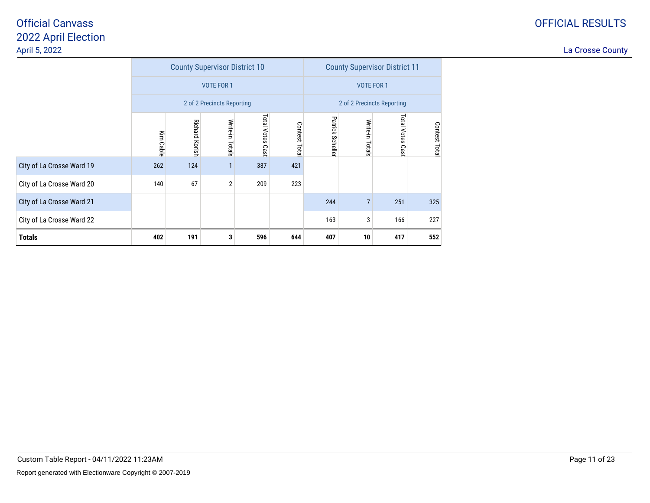|                           |           |                       | <b>County Supervisor District 10</b> |                     |               | <b>County Supervisor District 11</b> |                 |                            |               |  |
|---------------------------|-----------|-----------------------|--------------------------------------|---------------------|---------------|--------------------------------------|-----------------|----------------------------|---------------|--|
|                           |           |                       | <b>VOTE FOR 1</b>                    |                     |               | <b>VOTE FOR 1</b>                    |                 |                            |               |  |
|                           |           |                       | 2 of 2 Precincts Reporting           |                     |               |                                      |                 | 2 of 2 Precincts Reporting |               |  |
|                           | Kim Cable | <b>Richard Korish</b> | Write-in<br>Totals                   | Total Votes<br>Cast | Contest Total | Patrick<br>Scheller                  | Write-in Totals | Total Votes<br>Cast        | Contest Total |  |
| City of La Crosse Ward 19 | 262       | 124                   |                                      | 387                 | 421           |                                      |                 |                            |               |  |
| City of La Crosse Ward 20 | 140       | 67                    | $\overline{2}$                       | 209                 | 223           |                                      |                 |                            |               |  |
| City of La Crosse Ward 21 |           |                       |                                      |                     |               | 244                                  | $\overline{7}$  | 251                        | 325           |  |
| City of La Crosse Ward 22 |           |                       |                                      |                     |               | 163                                  | 3               | 166                        | 227           |  |
| <b>Totals</b>             | 402       | 191                   | 3                                    | 596                 | 644           | 407                                  | 10              | 417                        | 552           |  |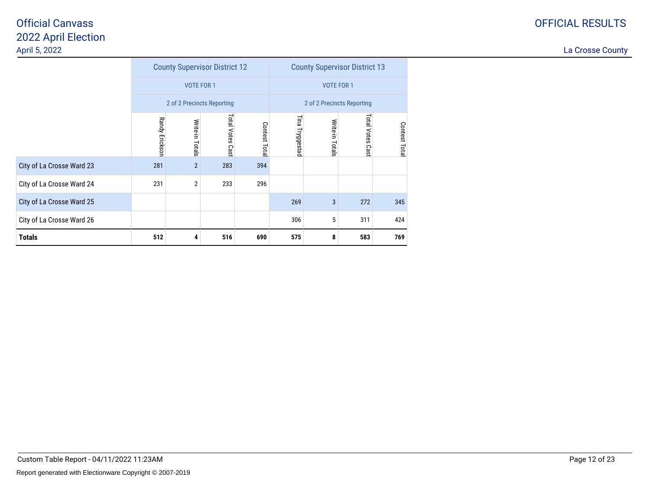|                           |                |                            | <b>County Supervisor District 12</b> |              | <b>County Supervisor District 13</b> |                 |                            |               |  |
|---------------------------|----------------|----------------------------|--------------------------------------|--------------|--------------------------------------|-----------------|----------------------------|---------------|--|
|                           |                | <b>VOTE FOR 1</b>          |                                      |              |                                      |                 | <b>VOTE FOR 1</b>          |               |  |
|                           |                | 2 of 2 Precincts Reporting |                                      |              |                                      |                 | 2 of 2 Precincts Reporting |               |  |
|                           | Randy Erickson | Write-in Totals            | Total Votes Cast                     | Contest Tota | ĒЩ<br>Tryggestad                     | Write-in Totals | Total Votes<br>Cast        | Contest Total |  |
| City of La Crosse Ward 23 | 281            | $\overline{2}$             | 283                                  | 394          |                                      |                 |                            |               |  |
| City of La Crosse Ward 24 | 231            | 2                          | 233                                  | 296          |                                      |                 |                            |               |  |
| City of La Crosse Ward 25 |                |                            |                                      |              | 269                                  | 3               | 272                        | 345           |  |
| City of La Crosse Ward 26 |                |                            |                                      |              | 306                                  | 5               | 311                        | 424           |  |
| <b>Totals</b>             | 512            | 4                          | 516                                  | 690          | 575                                  | 8               | 583                        | 769           |  |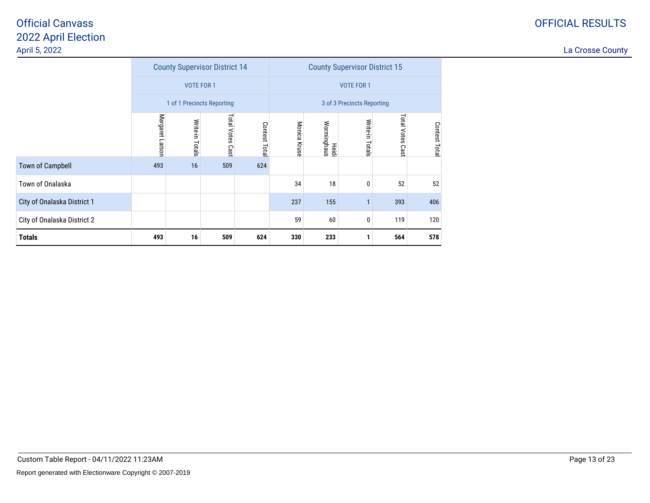|                             |                 |                    | <b>County Supervisor District 14</b> |               | <b>County Supervisor District 15</b> |                      |                            |                     |               |
|-----------------------------|-----------------|--------------------|--------------------------------------|---------------|--------------------------------------|----------------------|----------------------------|---------------------|---------------|
|                             |                 | <b>VOTE FOR 1</b>  |                                      |               |                                      |                      | <b>VOTE FOR 1</b>          |                     |               |
|                             |                 |                    | 1 of 1 Precincts Reporting           |               |                                      |                      | 3 of 3 Precincts Reporting |                     |               |
|                             | Margaret Larson | Write-in<br>Totals | Total Votes<br>Cast                  | Contest Total | Monica Kruse                         | Worminghaus<br>Heidi | Write-in Totals            | Total Votes<br>Cast | Contest Total |
| <b>Town of Campbell</b>     | 493             | 16                 | 509                                  | 624           |                                      |                      |                            |                     |               |
| Town of Onalaska            |                 |                    |                                      |               | 34                                   | 18                   | $\mathbf{0}$               | 52                  | 52            |
| City of Onalaska District 1 |                 |                    |                                      |               | 237                                  | 155                  |                            | 393                 | 406           |
| City of Onalaska District 2 |                 |                    |                                      |               |                                      | 60                   | 0                          | 119                 | 120           |
| <b>Totals</b>               | 493             | 16                 | 509                                  | 624           | 330                                  | 233                  |                            | 564                 | 578           |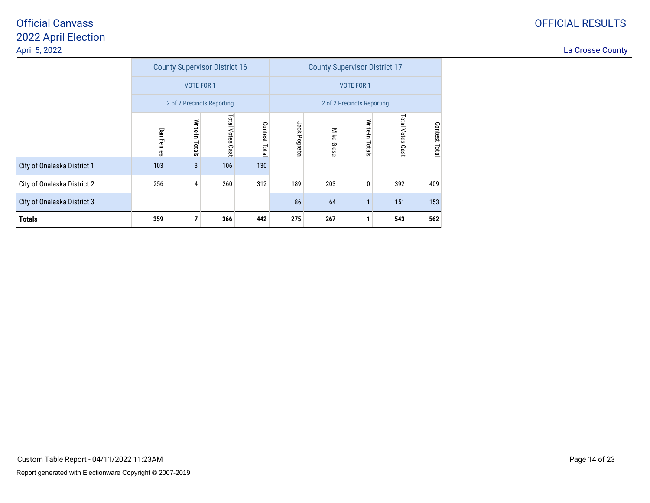|                             |                    |                            | <b>County Supervisor District 16</b> |                  | <b>County Supervisor District 17</b> |                      |                            |                     |               |  |
|-----------------------------|--------------------|----------------------------|--------------------------------------|------------------|--------------------------------------|----------------------|----------------------------|---------------------|---------------|--|
|                             |                    | <b>VOTE FOR 1</b>          |                                      |                  |                                      |                      | <b>VOTE FOR 1</b>          |                     |               |  |
|                             |                    | 2 of 2 Precincts Reporting |                                      |                  |                                      |                      | 2 of 2 Precincts Reporting |                     |               |  |
|                             | <b>Dan Ferries</b> | Write-in<br>Totals         | Total Votes<br>Cast                  | Contest<br>Total | Jack Pogreba                         | Mike<br><b>Giese</b> | Write-in<br>Totals         | Total Votes<br>Cast | Contest Total |  |
| City of Onalaska District 1 | 103                | 3                          | 106                                  | 130              |                                      |                      |                            |                     |               |  |
| City of Onalaska District 2 | 256                | 4                          | 260                                  | 312              | 189                                  | 203                  | 0                          | 392                 | 409           |  |
| City of Onalaska District 3 |                    |                            |                                      |                  | 86                                   | 64                   | 1                          | 151                 | 153           |  |
| <b>Totals</b>               | 359                | 7                          | 366                                  | 442              | 275                                  | 267                  | 1                          | 543                 | 562           |  |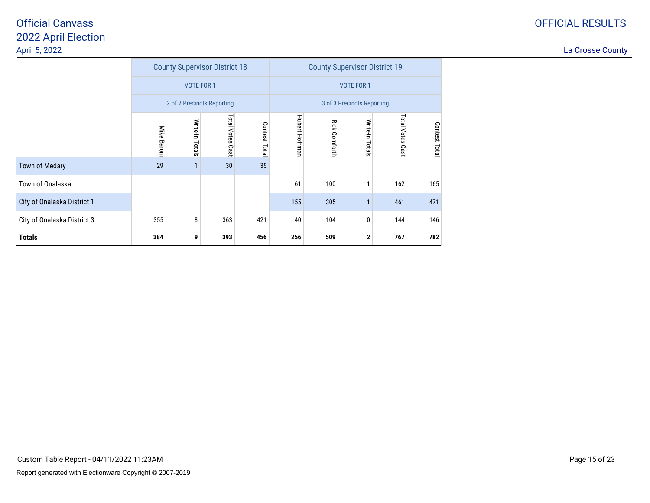|                             |                |                   | <b>County Supervisor District 18</b> |               | <b>County Supervisor District 19</b> |                       |                            |                     |               |
|-----------------------------|----------------|-------------------|--------------------------------------|---------------|--------------------------------------|-----------------------|----------------------------|---------------------|---------------|
|                             |                | <b>VOTE FOR 1</b> |                                      |               |                                      |                       | <b>VOTE FOR 1</b>          |                     |               |
|                             |                |                   | 2 of 2 Precincts Reporting           |               |                                      |                       | 3 of 3 Precincts Reporting |                     |               |
|                             | Mike<br>Baroni | Write-in Totals   | Total Votes<br>Cast                  | Contest Total | Hubert Hoffman                       | <b>Rick Cornforth</b> | Write-in Totals            | Total Votes<br>Cast | Contest Total |
| <b>Town of Medary</b>       | 29             |                   | 30                                   | 35            |                                      |                       |                            |                     |               |
| Town of Onalaska            |                |                   |                                      |               | 61                                   | 100                   | 1                          | 162                 | 165           |
| City of Onalaska District 1 |                |                   |                                      |               | 155                                  | 305                   | $\overline{1}$             | 461                 | 471           |
| City of Onalaska District 3 | 355            | 8                 | 363                                  | 421           | 40                                   | 104                   | 0                          | 144                 | 146           |
| <b>Totals</b>               | 384            | 9                 | 393                                  | 456           | 256                                  | 509                   | $\mathbf 2$                | 767                 | 782           |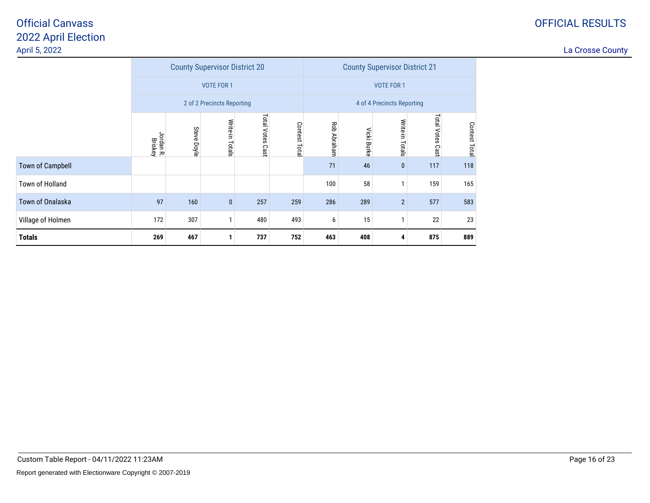### OFFICIAL RESULTS

|                         |                      |                    | <b>County Supervisor District 20</b> |                  |              | <b>County Supervisor District 21</b> |             |                            |                  |               |
|-------------------------|----------------------|--------------------|--------------------------------------|------------------|--------------|--------------------------------------|-------------|----------------------------|------------------|---------------|
|                         |                      |                    | <b>VOTE FOR 1</b>                    |                  |              |                                      |             | <b>VOTE FOR 1</b>          |                  |               |
|                         |                      |                    | 2 of 2 Precincts Reporting           |                  |              |                                      |             | 4 of 4 Precincts Reporting |                  |               |
|                         | Jordan R.<br>Briskey | <b>Steve Doyle</b> | Write-in Totals                      | Total Votes Cast | Contest Tota | Rob Abraham                          | Vicki Burke | Write-in Totals            | Total Votes Cast | Contest Total |
| <b>Town of Campbell</b> |                      |                    |                                      |                  |              | 71                                   | 46          | $\bf{0}$                   | 117              | 118           |
| Town of Holland         |                      |                    |                                      |                  |              | 100                                  | 58          |                            | 159              | 165           |
| Town of Onalaska        | 97                   | 160                | $\pmb{0}$                            | 257              | 259          | 286                                  | 289         | $\overline{2}$             | 577              | 583           |
| Village of Holmen       | 172                  | 307                | 1                                    | 480              | 493          | 6                                    | 15          |                            | 22               | 23            |
| <b>Totals</b>           | 269                  | 467                | 1                                    | 737              | 752          | 463                                  | 408         | 4                          | 875              | 889           |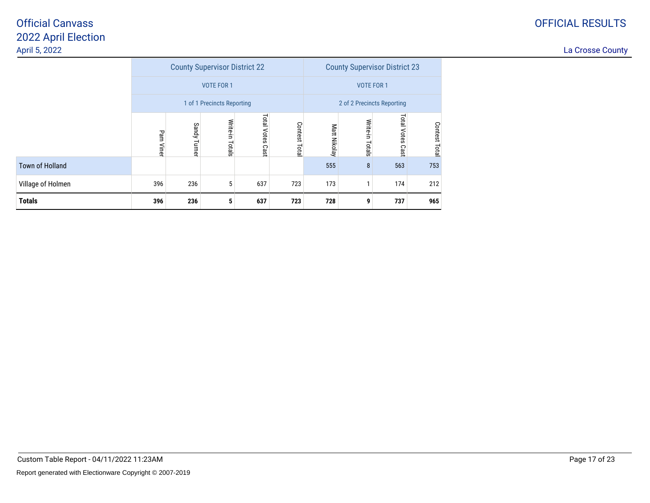|                        |              |                                                                                     | <b>County Supervisor District 22</b> |     |     |     | <b>County Supervisor District 23</b> |                     |               |
|------------------------|--------------|-------------------------------------------------------------------------------------|--------------------------------------|-----|-----|-----|--------------------------------------|---------------------|---------------|
|                        |              |                                                                                     | <b>VOTE FOR 1</b>                    |     |     |     | <b>VOTE FOR 1</b>                    |                     |               |
|                        |              |                                                                                     | 1 of 1 Precincts Reporting           |     |     |     | 2 of 2 Precincts Reporting           |                     |               |
|                        | Pam<br>Viner | Total<br>Write-in<br>Contest<br>Sandy<br>Votes<br>Turner<br>Totals<br>Total<br>Cast |                                      |     |     |     | Write-in<br>Totals                   | Total Votes<br>Cast | Contest Total |
| <b>Town of Holland</b> |              |                                                                                     |                                      |     |     | 555 | 8                                    | 563                 | 753           |
| Village of Holmen      | 396          | 236                                                                                 | 5                                    | 637 | 723 | 173 |                                      | 174                 | 212           |
| <b>Totals</b>          | 396          | 236                                                                                 | 5                                    | 637 | 723 | 728 | 9                                    | 737                 | 965           |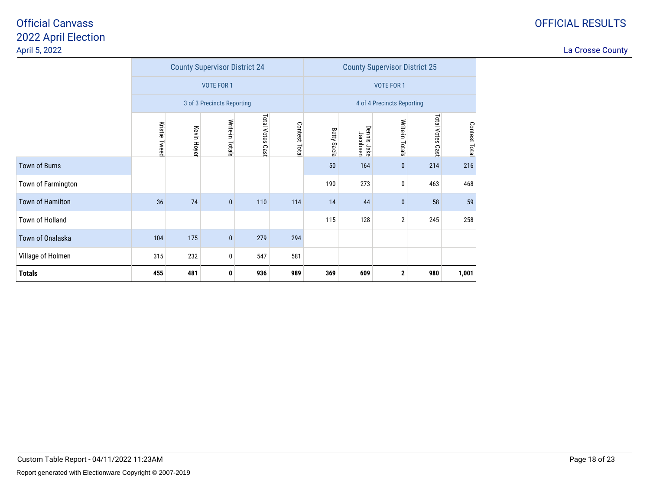### OFFICIAL RESULTS

|                      |               |             | <b>County Supervisor District 24</b> |                  |              | <b>County Supervisor District 25</b> |                         |                            |                  |               |  |
|----------------------|---------------|-------------|--------------------------------------|------------------|--------------|--------------------------------------|-------------------------|----------------------------|------------------|---------------|--|
|                      |               |             | <b>VOTE FOR 1</b>                    |                  |              |                                      |                         | <b>VOTE FOR 1</b>          |                  |               |  |
|                      |               |             | 3 of 3 Precincts Reporting           |                  |              |                                      |                         | 4 of 4 Precincts Reporting |                  |               |  |
|                      | Kristie Tweed | Kevin Hoyer | Write-in Totals                      | Total Votes Cast | Contest Tota | <b>Betty Sacia</b>                   | Dennis Jake<br>Jacobsen | Write-in Totals            | Total Votes Cast | Contest Total |  |
| <b>Town of Burns</b> |               |             |                                      |                  |              | 50                                   | 164                     | $\bf{0}$                   | 214              | 216           |  |
| Town of Farmington   |               |             |                                      |                  |              | 190                                  | 273                     | 0                          | 463              | 468           |  |
| Town of Hamilton     | 36            | 74          | $\mathbf{0}$                         | 110              | 114          | 14                                   | 44                      | $\mathbf 0$                | 58               | 59            |  |
| Town of Holland      |               |             |                                      |                  |              | 115                                  | 128                     | $\mathbf 2$                | 245              | 258           |  |
| Town of Onalaska     | 104           | 175         | $\bf{0}$                             | 279              | 294          |                                      |                         |                            |                  |               |  |
| Village of Holmen    | 315           | 232         | 0                                    | 547              | 581          |                                      |                         |                            |                  |               |  |
| <b>Totals</b>        | 455           | 481         | 0                                    | 936              | 989          | 369                                  | 609                     | $\mathbf 2$                | 980              | 1,001         |  |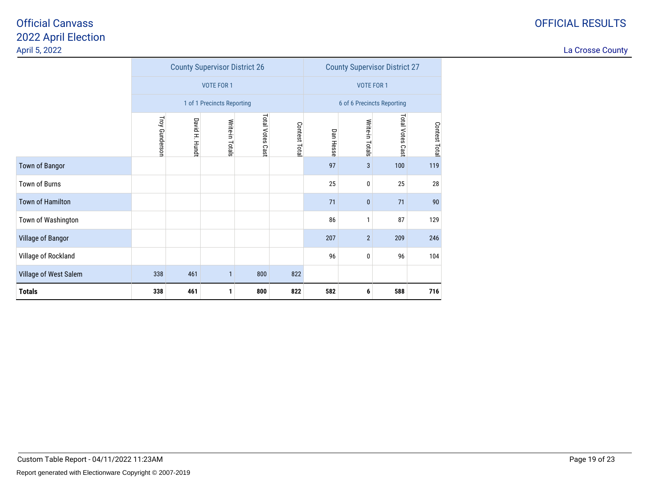|                       |                |                | <b>County Supervisor District 26</b> |                     |           | <b>County Supervisor District 27</b> |                            |               |     |  |
|-----------------------|----------------|----------------|--------------------------------------|---------------------|-----------|--------------------------------------|----------------------------|---------------|-----|--|
|                       |                |                | <b>VOTE FOR 1</b>                    |                     |           |                                      | <b>VOTE FOR 1</b>          |               |     |  |
|                       |                |                | 1 of 1 Precincts Reporting           |                     |           |                                      | 6 of 6 Precincts Reporting |               |     |  |
|                       | Troy Gunderson | David H. Hundt | Write-in Totals                      | Total Votes<br>Cast | Dan Hesse | Write-in Totals                      | Total Votes<br>Cast        | Contest Total |     |  |
| Town of Bangor        |                |                |                                      |                     |           | 97                                   | 3                          | 100           | 119 |  |
| Town of Burns         |                |                |                                      |                     |           | 25                                   | 0                          | 25            | 28  |  |
| Town of Hamilton      |                |                |                                      |                     |           | 71                                   | $\pmb{0}$                  | 71            | 90  |  |
| Town of Washington    |                |                |                                      |                     |           | 86                                   | 1                          | 87            | 129 |  |
| Village of Bangor     |                |                |                                      |                     |           | 207                                  | $\overline{2}$             | 209           | 246 |  |
| Village of Rockland   |                |                |                                      |                     |           | 96                                   | 0                          | 96            | 104 |  |
| Village of West Salem | 338            | 461            | 1                                    | 800                 | 822       |                                      |                            |               |     |  |
| <b>Totals</b>         | 338            | 461            | 1                                    | 800                 | 822       | 582                                  | 6                          | 588           | 716 |  |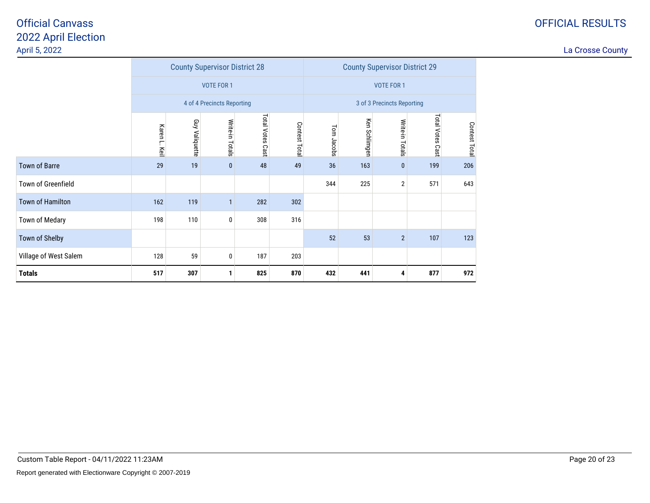### OFFICIAL RESULTS

|                         |                  |                | <b>County Supervisor District 28</b> |                  |               | <b>County Supervisor District 29</b> |               |                            |                  |               |  |
|-------------------------|------------------|----------------|--------------------------------------|------------------|---------------|--------------------------------------|---------------|----------------------------|------------------|---------------|--|
|                         |                  |                | <b>VOTE FOR 1</b>                    |                  |               |                                      |               | <b>VOTE FOR 1</b>          |                  |               |  |
|                         |                  |                | 4 of 4 Precincts Reporting           |                  |               |                                      |               | 3 of 3 Precincts Reporting |                  |               |  |
|                         | Karen L.<br>Keil | Guy Valiquette | Write-in Totals                      | Total Votes Cast | Contest Total | Tom Jacobs                           | Ken Schlimgen | Write-in Totals            | Total Votes Cast | Contest Total |  |
| <b>Town of Barre</b>    | 29               | 19             | $\pmb{0}$                            | 48               | 49            | 36                                   | 163           | $\pmb{0}$                  | 199              | 206           |  |
| Town of Greenfield      |                  |                |                                      |                  |               | 344                                  | 225           | $\mathbf{2}$               | 571              | 643           |  |
| <b>Town of Hamilton</b> | 162              | 119            | $\mathbf{1}$                         | 282              | 302           |                                      |               |                            |                  |               |  |
| Town of Medary          | 198              | 110            | 0                                    | 308              | 316           |                                      |               |                            |                  |               |  |
| Town of Shelby          |                  |                |                                      |                  |               | 52                                   | 53            | $\overline{2}$             | 107              | 123           |  |
| Village of West Salem   | 128              | 59             | 0                                    | 187              | 203           |                                      |               |                            |                  |               |  |
| <b>Totals</b>           | 517              | 307            | 1                                    | 825              | 870           | 432                                  | 441           | 4                          | 877              | 972           |  |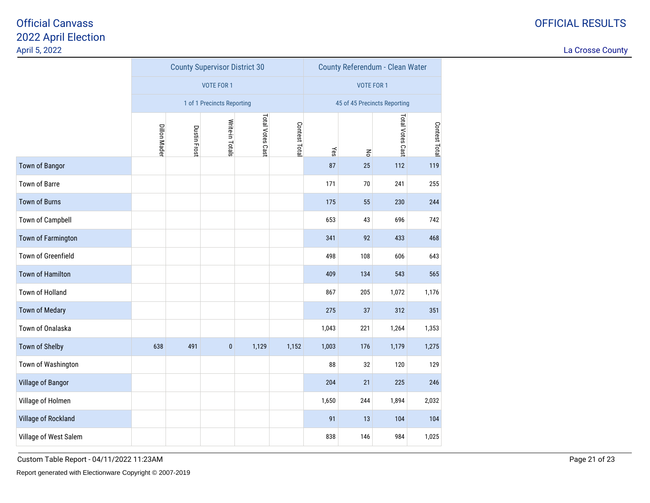La Crosse County

|                         |              |              | <b>County Supervisor District 30</b> |                  |               | County Referendum - Clean Water |                                |                              |               |  |
|-------------------------|--------------|--------------|--------------------------------------|------------------|---------------|---------------------------------|--------------------------------|------------------------------|---------------|--|
|                         |              |              | <b>VOTE FOR 1</b>                    |                  |               |                                 | <b>VOTE FOR 1</b>              |                              |               |  |
|                         |              |              | 1 of 1 Precincts Reporting           |                  |               |                                 |                                | 45 of 45 Precincts Reporting |               |  |
|                         | Dillon Mader | Dustin Frost | Write-in Totals                      | Total Votes Cast | Contest Total | $\chi$ es                       | $\mathop{\mathsf{g}}\nolimits$ | Total Votes Cast             | Contest Total |  |
| Town of Bangor          |              |              |                                      |                  |               | 87                              | 25                             | 112                          | 119           |  |
| Town of Barre           |              |              |                                      |                  |               | 171                             | $70\,$                         | 241                          | 255           |  |
| <b>Town of Burns</b>    |              |              |                                      |                  | 175           | 55                              | 230                            | 244                          |               |  |
| Town of Campbell        |              |              |                                      |                  |               | 653                             | 43                             | 696                          | 742           |  |
| Town of Farmington      |              |              |                                      |                  |               | 341                             | 92                             | 433                          | 468           |  |
| Town of Greenfield      |              |              |                                      |                  |               | 498                             | 108                            | 606                          | 643           |  |
| <b>Town of Hamilton</b> |              |              |                                      |                  |               | 409                             | 134                            | 543                          | 565           |  |
| Town of Holland         |              |              |                                      |                  |               | 867                             | 205                            | 1,072                        | 1,176         |  |
| <b>Town of Medary</b>   |              |              |                                      |                  |               | 275                             | 37                             | 312                          | 351           |  |
| Town of Onalaska        |              |              |                                      |                  |               | 1,043                           | 221                            | 1,264                        | 1,353         |  |
| Town of Shelby          | 638          | 491          | $\pmb{0}$                            | 1,129            | 1,152         | 1,003                           | 176                            | 1,179                        | 1,275         |  |
| Town of Washington      |              |              |                                      |                  |               | 88                              | 32                             | 120                          | 129           |  |
| Village of Bangor       |              |              |                                      |                  |               | 204                             | 21                             | 225                          | 246           |  |
| Village of Holmen       |              |              |                                      |                  |               | 1,650                           | 244                            | 1,894                        | 2,032         |  |
| Village of Rockland     |              |              |                                      |                  |               | 91                              | 13                             | 104                          | 104           |  |
| Village of West Salem   |              |              |                                      |                  |               | 838                             | 146                            | 984                          | 1,025         |  |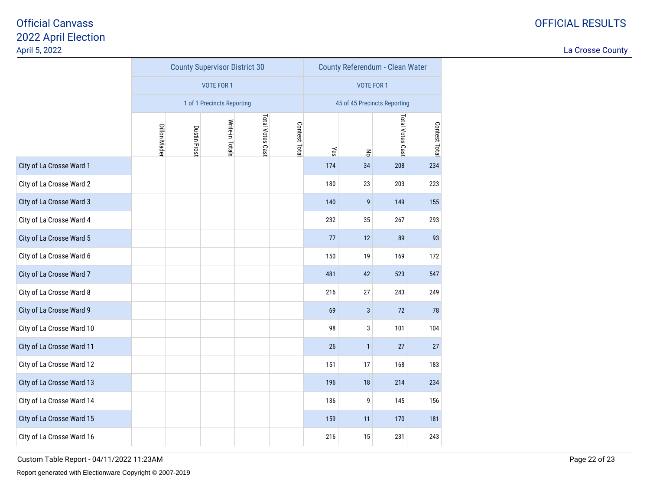La Crosse County

|                           |                     |              | <b>County Supervisor District 30</b> |                  |              | County Referendum - Clean Water |                              |                         |               |
|---------------------------|---------------------|--------------|--------------------------------------|------------------|--------------|---------------------------------|------------------------------|-------------------------|---------------|
|                           |                     |              | <b>VOTE FOR 1</b>                    |                  |              |                                 | <b>VOTE FOR 1</b>            |                         |               |
|                           |                     |              | 1 of 1 Precincts Reporting           |                  |              |                                 | 45 of 45 Precincts Reporting |                         |               |
|                           | <b>Dillon Mader</b> | Dustin Frost | Write-in Totals                      | Total Votes Cast | Contest Tota | Yes                             | $\mathsf{R}^{\mathsf{c}}$    | <b>Total Votes Cast</b> | Contest Total |
| City of La Crosse Ward 1  |                     |              |                                      |                  |              | 174                             | 34                           | 208                     | 234           |
| City of La Crosse Ward 2  |                     |              |                                      |                  |              | 180                             | 23                           | 203                     | 223           |
| City of La Crosse Ward 3  |                     |              |                                      |                  |              | 140                             | $\boldsymbol{9}$             | 149                     | 155           |
| City of La Crosse Ward 4  |                     |              |                                      |                  |              | 232                             | 35                           | 267                     | 293           |
| City of La Crosse Ward 5  |                     |              |                                      |                  |              |                                 | 12                           | 89                      | 93            |
| City of La Crosse Ward 6  |                     |              |                                      |                  |              | 150                             | 19                           | 169                     | 172           |
| City of La Crosse Ward 7  |                     |              |                                      |                  |              | 481                             | 42                           | 523                     | 547           |
| City of La Crosse Ward 8  |                     |              |                                      |                  |              | 216                             | 27                           | 243                     | 249           |
| City of La Crosse Ward 9  |                     |              |                                      |                  |              | 69                              | $\sqrt{3}$                   | 72                      | 78            |
| City of La Crosse Ward 10 |                     |              |                                      |                  |              | 98                              | 3                            | 101                     | 104           |
| City of La Crosse Ward 11 |                     |              |                                      |                  |              | 26                              | $\mathbf{1}$                 | 27                      | 27            |
| City of La Crosse Ward 12 |                     |              |                                      |                  |              | 151                             | 17                           | 168                     | 183           |
| City of La Crosse Ward 13 |                     |              |                                      |                  |              | 196                             | 18                           | 214                     | 234           |
| City of La Crosse Ward 14 |                     |              |                                      |                  |              | 136                             | 9                            | 145                     | 156           |
| City of La Crosse Ward 15 |                     |              |                                      |                  |              | 159                             | 11                           | 170                     | 181           |
| City of La Crosse Ward 16 |                     |              |                                      |                  |              | 216                             | 15                           | 231                     | 243           |